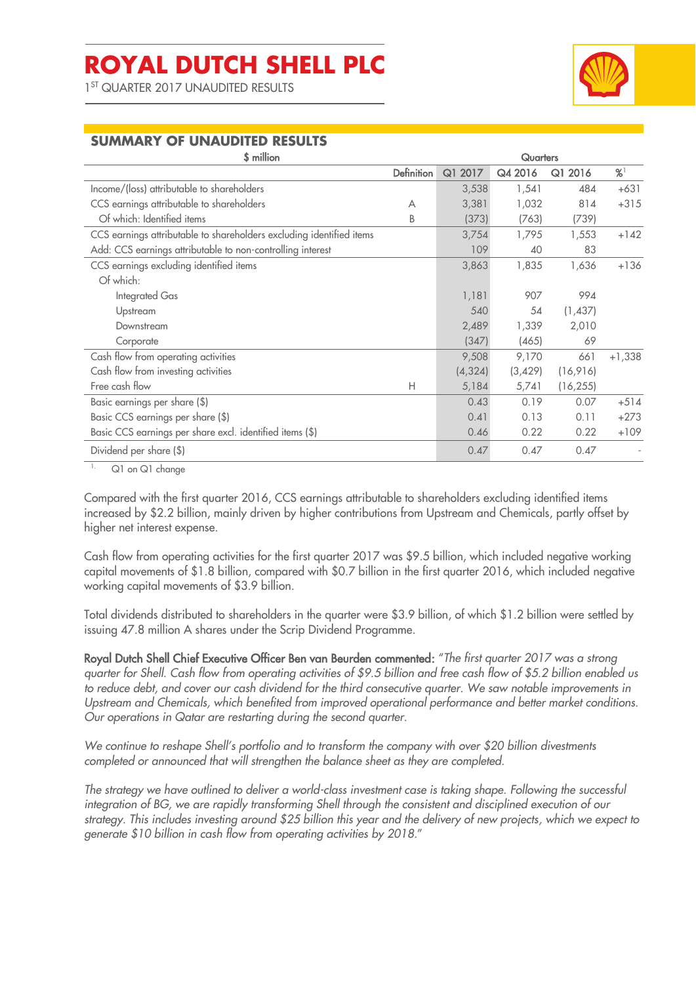1 ST QUARTER 2017 UNAUDITED RESULTS



# **SUMMARY OF UNAUDITED RESULTS**

| \$ million                                                           |                   | <b>Quarters</b> |         |           |          |
|----------------------------------------------------------------------|-------------------|-----------------|---------|-----------|----------|
|                                                                      | <b>Definition</b> | Q1 2017         | Q4 2016 | Q1 2016   | %        |
| Income/(loss) attributable to shareholders                           |                   | 3,538           | 1,541   | 484       | $+631$   |
| CCS earnings attributable to shareholders                            | А                 | 3,381           | 1,032   | 814       | $+315$   |
| Of which: Identified items                                           | B                 | (373)           | (763)   | (739)     |          |
| CCS earnings attributable to shareholders excluding identified items |                   | 3,754           | 1,795   | 1,553     | $+142$   |
| Add: CCS earnings attributable to non-controlling interest           |                   | 109             | 40      | 83        |          |
| CCS earnings excluding identified items                              |                   | 3,863           | 1,835   | 1,636     | $+136$   |
| Of which:                                                            |                   |                 |         |           |          |
| Integrated Gas                                                       |                   | 1,181           | 907     | 994       |          |
| Upstream                                                             |                   | 540             | 54      | (1,437)   |          |
| Downstream                                                           |                   | 2,489           | 1,339   | 2,010     |          |
| Corporate                                                            |                   | (347)           | (465)   | 69        |          |
| Cash flow from operating activities                                  |                   | 9,508           | 9,170   | 661       | $+1,338$ |
| Cash flow from investing activities                                  |                   | (4, 324)        | (3,429) | (16,916)  |          |
| Free cash flow                                                       | Н                 | 5,184           | 5,741   | (16, 255) |          |
| Basic earnings per share (\$)                                        |                   | 0.43            | 0.19    | 0.07      | $+514$   |
| Basic CCS earnings per share (\$)                                    |                   | 0.41            | 0.13    | 0.11      | $+273$   |
| Basic CCS earnings per share excl. identified items (\$)             |                   | 0.46            | 0.22    | 0.22      | $+109$   |
| Dividend per share (\$)                                              |                   | 0.47            | 0.47    | 0.47      |          |

1. Q1 on Q1 change

Compared with the first quarter 2016, CCS earnings attributable to shareholders excluding identified items increased by \$2.2 billion, mainly driven by higher contributions from Upstream and Chemicals, partly offset by higher net interest expense.

Cash flow from operating activities for the first quarter 2017 was \$9.5 billion, which included negative working capital movements of \$1.8 billion, compared with \$0.7 billion in the first quarter 2016, which included negative working capital movements of \$3.9 billion.

Total dividends distributed to shareholders in the quarter were \$3.9 billion, of which \$1.2 billion were settled by issuing 47.8 million A shares under the Scrip Dividend Programme.

Royal Dutch Shell Chief Executive Officer Ben van Beurden commented: "*The first quarter 2017 was a strong quarter for Shell. Cash flow from operating activities of \$9.5 billion and free cash flow of \$5.2 billion enabled us to reduce debt, and cover our cash dividend for the third consecutive quarter. We saw notable improvements in Upstream and Chemicals, which benefited from improved operational performance and better market conditions. Our operations in Qatar are restarting during the second quarter.*

*We continue to reshape Shell's portfolio and to transform the company with over \$20 billion divestments completed or announced that will strengthen the balance sheet as they are completed.*

*The strategy we have outlined to deliver a world-class investment case is taking shape. Following the successful integration of BG, we are rapidly transforming Shell through the consistent and disciplined execution of our strategy. This includes investing around \$25 billion this year and the delivery of new projects, which we expect to generate \$10 billion in cash flow from operating activities by 2018.*"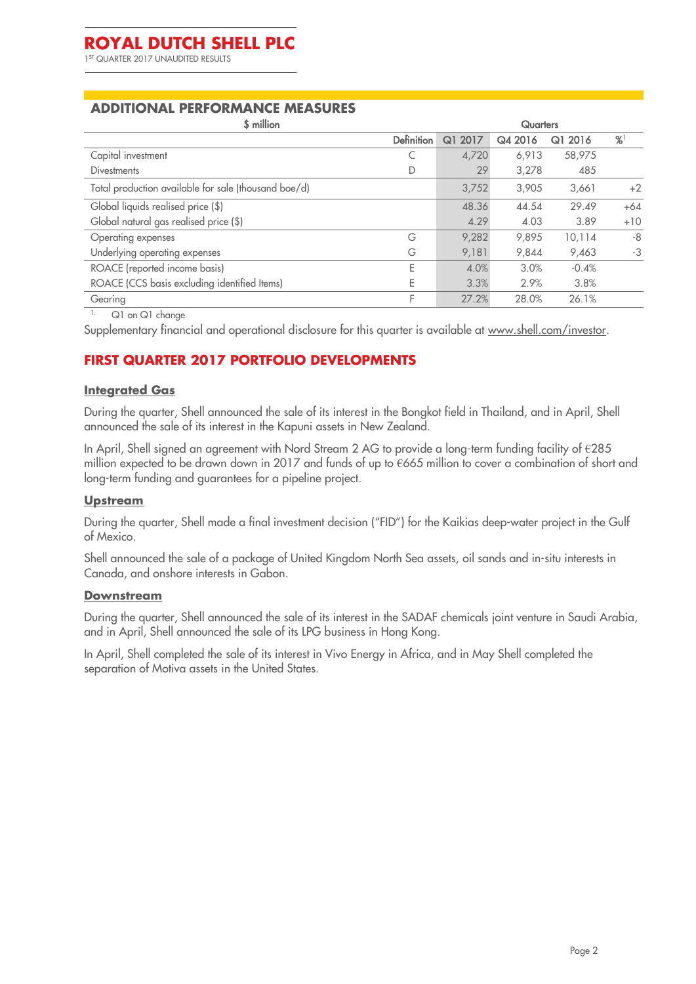#### **ADDITIONAL PERFORMANCE MEASURES**

| \$ million                                           |                   | Quarters |         |         |       |
|------------------------------------------------------|-------------------|----------|---------|---------|-------|
|                                                      | <b>Definition</b> | Q1 2017  | Q4 2016 | Q1 2016 | %     |
| Capital investment                                   |                   | 4,720    | 6,913   | 58,975  |       |
| <b>Divestments</b>                                   |                   | 29       | 3,278   | 485     |       |
| Total production available for sale (thousand boe/d) |                   | 3,752    | 3,905   | 3,661   | $+2$  |
| Global liquids realised price (\$)                   |                   | 48.36    | 44.54   | 29.49   | $+64$ |
| Global natural gas realised price (\$)               |                   | 4.29     | 4.03    | 3.89    | $+10$ |
| Operating expenses                                   | G                 | 9,282    | 9.895   | 10,114  | $-8$  |
| Underlying operating expenses                        | G                 | 9,181    | 9,844   | 9,463   | -3    |
| ROACE (reported income basis)                        | E                 | 4.0%     | 3.0%    | $-0.4%$ |       |
| ROACE (CCS basis excluding identified Items)         |                   | 3.3%     | 2.9%    | 3.8%    |       |
| Gearing                                              | F                 | 27.2%    | 28.0%   | 26.1%   |       |

l

Q1 on Q1 change

Supplementary financial and operational disclosure for this quarter is available at [www.shell.com/investor.](http://www.shell.com/investor)

# **FIRST QUARTER 2017 PORTFOLIO DEVELOPMENTS**

#### **Integrated Gas**

During the quarter, Shell announced the sale of its interest in the Bongkot field in Thailand, and in April, Shell announced the sale of its interest in the Kapuni assets in New Zealand.

In April, Shell signed an agreement with Nord Stream 2 AG to provide a long-term funding facility of €285 million expected to be drawn down in 2017 and funds of up to €665 million to cover a combination of short and long-term funding and guarantees for a pipeline project.

#### **Upstream**

During the quarter, Shell made a final investment decision ("FID") for the Kaikias deep-water project in the Gulf of Mexico.

Shell announced the sale of a package of United Kingdom North Sea assets, oil sands and in-situ interests in Canada, and onshore interests in Gabon.

#### **Downstream**

During the quarter, Shell announced the sale of its interest in the SADAF chemicals joint venture in Saudi Arabia, and in April, Shell announced the sale of its LPG business in Hong Kong.

In April, Shell completed the sale of its interest in Vivo Energy in Africa, and in May Shell completed the separation of Motiva assets in the United States.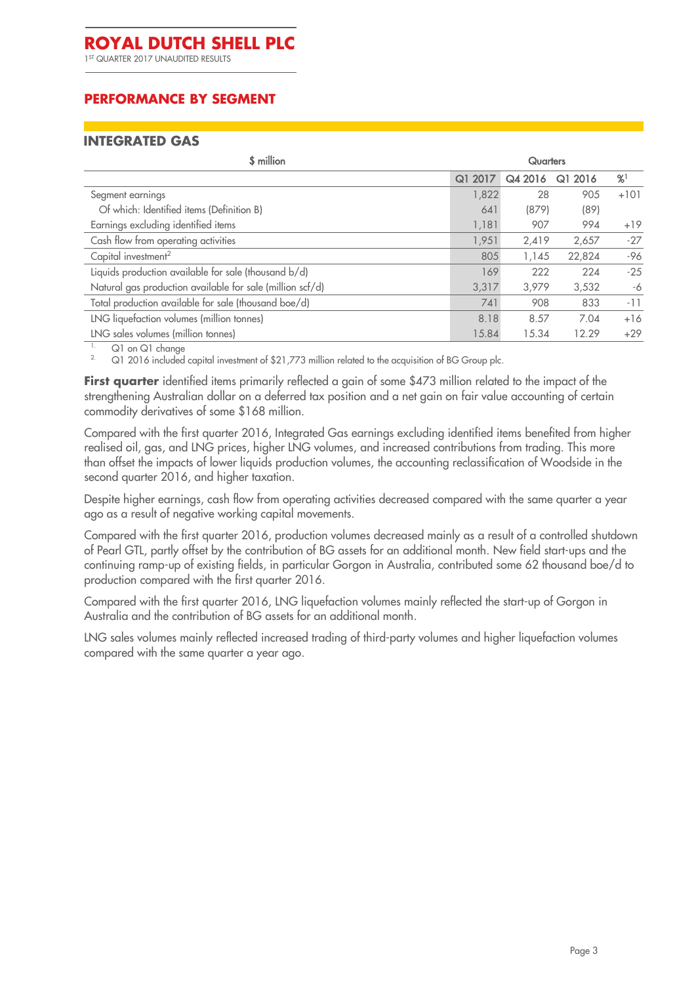1 ST QUARTER 2017 UNAUDITED RESULTS

# **PERFORMANCE BY SEGMENT**

#### **INTEGRATED GAS**

| \$ million                                                | <b>Quarters</b> |         |         |        |
|-----------------------------------------------------------|-----------------|---------|---------|--------|
|                                                           | 2017<br>Q1      | Q4 2016 | Q1 2016 | %      |
| Segment earnings                                          | 1,822           | 28      | 905     | $+101$ |
| Of which: Identified items (Definition B)                 | 641             | (879)   | (89)    |        |
| Earnings excluding identified items                       | 1,181           | 907     | 994     | $+19$  |
| Cash flow from operating activities                       | 1,951           | 2,419   | 2,657   | $-27$  |
| Capital investment <sup>2</sup>                           | 805             | 1,145   | 22,824  | -96    |
| Liquids production available for sale (thousand b/d)      | 169             | 222     | 224     | $-25$  |
| Natural gas production available for sale (million scf/d) | 3,317           | 3.979   | 3,532   | -6     |
| Total production available for sale (thousand boe/d)      | 741             | 908     | 833     | $-11$  |
| LNG liquefaction volumes (million tonnes)                 | 8.18            | 8.57    | 7.04    | $+16$  |
| LNG sales volumes (million tonnes)                        | 15.84           | 15.34   | 12.29   | $+29$  |
| .                                                         |                 |         |         |        |

<sup>1.</sup> Q1 on Q1 change<br><sup>2.</sup> Q1 2016 included

Q1 2016 included capital investment of \$21,773 million related to the acquisition of BG Group plc.

**First quarter** identified items primarily reflected a gain of some \$473 million related to the impact of the strengthening Australian dollar on a deferred tax position and a net gain on fair value accounting of certain commodity derivatives of some \$168 million.

Compared with the first quarter 2016, Integrated Gas earnings excluding identified items benefited from higher realised oil, gas, and LNG prices, higher LNG volumes, and increased contributions from trading. This more than offset the impacts of lower liquids production volumes, the accounting reclassification of Woodside in the second quarter 2016, and higher taxation.

Despite higher earnings, cash flow from operating activities decreased compared with the same quarter a year ago as a result of negative working capital movements.

Compared with the first quarter 2016, production volumes decreased mainly as a result of a controlled shutdown of Pearl GTL, partly offset by the contribution of BG assets for an additional month. New field start-ups and the continuing ramp-up of existing fields, in particular Gorgon in Australia, contributed some 62 thousand boe/d to production compared with the first quarter 2016.

Compared with the first quarter 2016, LNG liquefaction volumes mainly reflected the start-up of Gorgon in Australia and the contribution of BG assets for an additional month.

LNG sales volumes mainly reflected increased trading of third-party volumes and higher liquefaction volumes compared with the same quarter a year ago.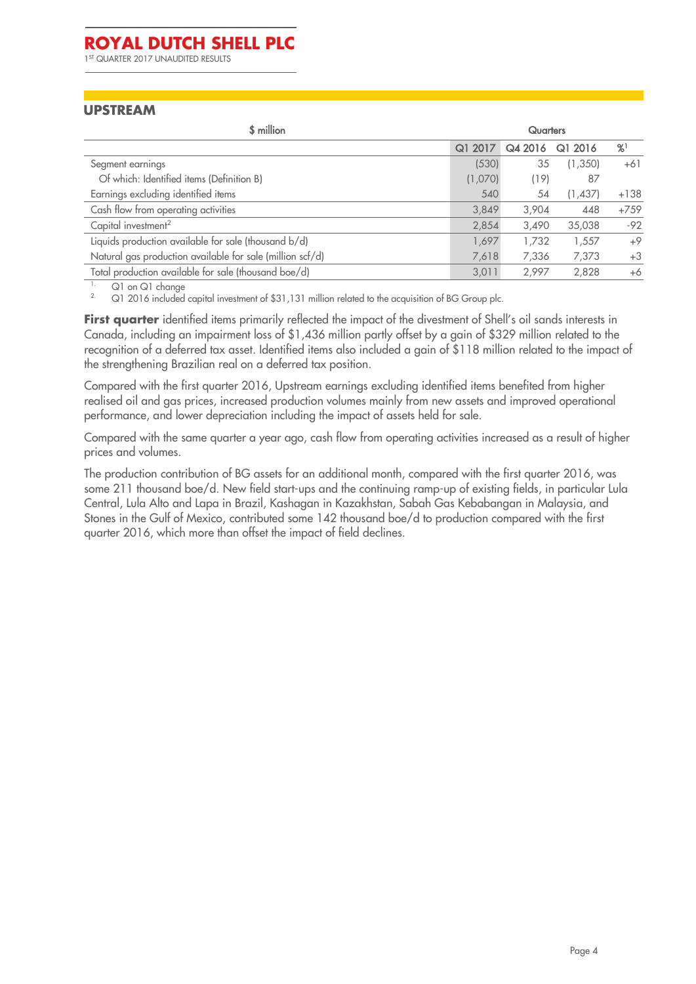1 ST QUARTER 2017 UNAUDITED RESULTS

#### **UPSTREAM**

| \$ million                                                | <b>Quarters</b> |         |         |        |
|-----------------------------------------------------------|-----------------|---------|---------|--------|
|                                                           | Q1 2017         | Q4 2016 | Q12016  | %      |
| Segment earnings                                          | (530)           | 35      | (1,350) | $+61$  |
| Of which: Identified items (Definition B)                 | (1,070)         | (19)    | 87      |        |
| Earnings excluding identified items                       | 540             | 54      | (1,437) | $+138$ |
| Cash flow from operating activities                       | 3,849           | 3,904   | 448     | $+759$ |
| Capital investment <sup>2</sup>                           | 2,854           | 3,490   | 35,038  | $-92$  |
| Liquids production available for sale (thousand b/d)      | 1,697           | 1.732   | 1,557   | $+9$   |
| Natural gas production available for sale (million scf/d) | 7,618           | 7,336   | 7,373   | $+3$   |
| Total production available for sale (thousand boe/d)      | 3,011           | 2.997   | 2,828   | $+6$   |

 $1.$  Q1 on Q1 change

Q1 2016 included capital investment of \$31,131 million related to the acquisition of BG Group plc.

First quarter identified items primarily reflected the impact of the divestment of Shell's oil sands interests in Canada, including an impairment loss of \$1,436 million partly offset by a gain of \$329 million related to the recognition of a deferred tax asset. Identified items also included a gain of \$118 million related to the impact of the strengthening Brazilian real on a deferred tax position.

Compared with the first quarter 2016, Upstream earnings excluding identified items benefited from higher realised oil and gas prices, increased production volumes mainly from new assets and improved operational performance, and lower depreciation including the impact of assets held for sale.

Compared with the same quarter a year ago, cash flow from operating activities increased as a result of higher prices and volumes.

The production contribution of BG assets for an additional month, compared with the first quarter 2016, was some 211 thousand boe/d. New field start-ups and the continuing ramp-up of existing fields, in particular Lula Central, Lula Alto and Lapa in Brazil, Kashagan in Kazakhstan, Sabah Gas Kebabangan in Malaysia, and Stones in the Gulf of Mexico, contributed some 142 thousand boe/d to production compared with the first quarter 2016, which more than offset the impact of field declines.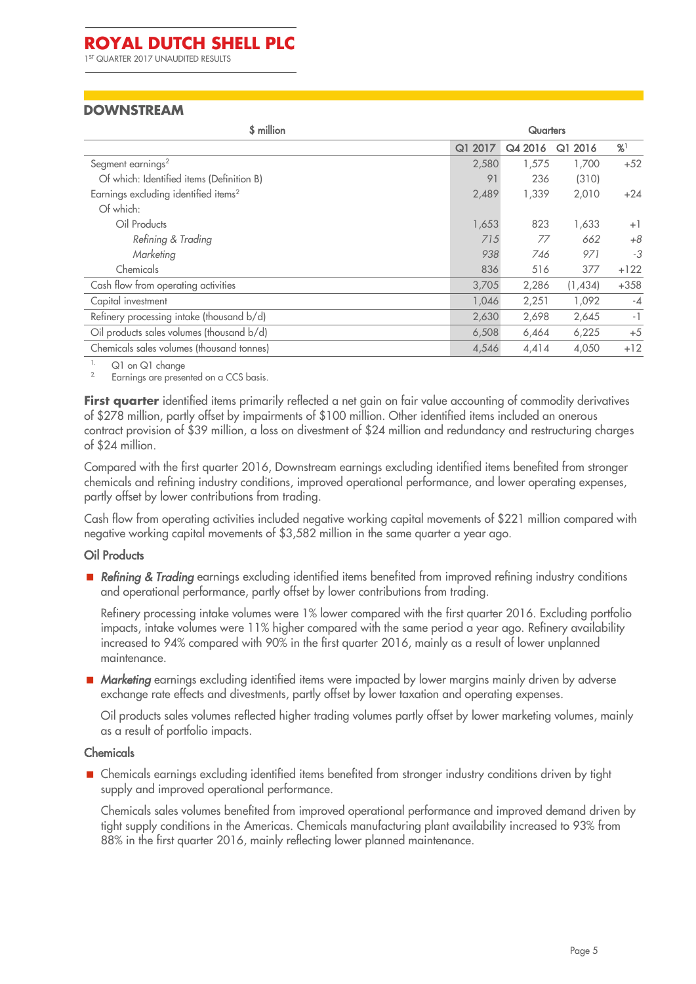# **DOWNSTREAM**

| \$ million                                       | <b>Quarters</b> |         |         |        |
|--------------------------------------------------|-----------------|---------|---------|--------|
|                                                  | 2017<br>Q1      | Q4 2016 | Q1 2016 | %      |
| Segment earnings <sup>2</sup>                    | 2,580           | 1,575   | 1,700   | $+52$  |
| Of which: Identified items (Definition B)        | 91              | 236     | (310)   |        |
| Earnings excluding identified items <sup>2</sup> | 2,489           | 1.339   | 2,010   | $+24$  |
| Of which:                                        |                 |         |         |        |
| Oil Products                                     | 1,653           | 823     | 1,633   | $+1$   |
| Refining & Trading                               | 715             | 77      | 662     | $+8$   |
| Marketing                                        | 938             | 746     | 971     | -3     |
| Chemicals                                        | 836             | 516     | 377     | $+122$ |
| Cash flow from operating activities              | 3,705           | 2,286   | (1,434) | $+358$ |
| Capital investment                               | 1,046           | 2,251   | 1,092   | $-4$   |
| Refinery processing intake (thousand b/d)        | 2,630           | 2,698   | 2,645   | $-1$   |
| Oil products sales volumes (thousand b/d)        | 6,508           | 6,464   | 6,225   | $+5$   |
| Chemicals sales volumes (thousand tonnes)        | 4,546           | 4,414   | 4,050   | $+12$  |

 $1.$  Q1 on Q1 change

Earnings are presented on a CCS basis.

**First quarter** identified items primarily reflected a net gain on fair value accounting of commodity derivatives of \$278 million, partly offset by impairments of \$100 million. Other identified items included an onerous contract provision of \$39 million, a loss on divestment of \$24 million and redundancy and restructuring charges of \$24 million.

Compared with the first quarter 2016, Downstream earnings excluding identified items benefited from stronger chemicals and refining industry conditions, improved operational performance, and lower operating expenses, partly offset by lower contributions from trading.

Cash flow from operating activities included negative working capital movements of \$221 million compared with negative working capital movements of \$3,582 million in the same quarter a year ago.

#### Oil Products

 *Refining & Trading* earnings excluding identified items benefited from improved refining industry conditions and operational performance, partly offset by lower contributions from trading.

Refinery processing intake volumes were 1% lower compared with the first quarter 2016. Excluding portfolio impacts, intake volumes were 11% higher compared with the same period a year ago. Refinery availability increased to 94% compared with 90% in the first quarter 2016, mainly as a result of lower unplanned maintenance.

■ *Marketing* earnings excluding identified items were impacted by lower margins mainly driven by adverse exchange rate effects and divestments, partly offset by lower taxation and operating expenses.

Oil products sales volumes reflected higher trading volumes partly offset by lower marketing volumes, mainly as a result of portfolio impacts.

#### Chemicals

**Exercise Example 2** Chemicals earnings excluding identified items benefited from stronger industry conditions driven by tight supply and improved operational performance.

Chemicals sales volumes benefited from improved operational performance and improved demand driven by tight supply conditions in the Americas. Chemicals manufacturing plant availability increased to 93% from 88% in the first quarter 2016, mainly reflecting lower planned maintenance.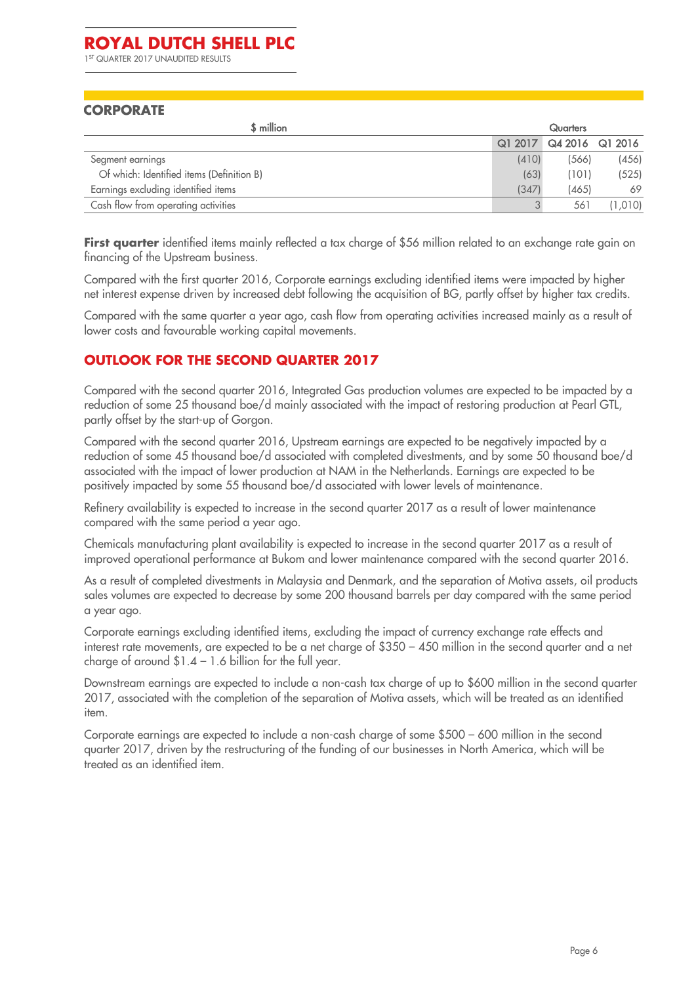1 ST QUARTER 2017 UNAUDITED RESULTS

#### **CORPORATE**

| \$ million                                |       | <b>Quarters</b>         |         |
|-------------------------------------------|-------|-------------------------|---------|
|                                           |       | Q1 2017 Q4 2016 Q1 2016 |         |
| Segment earnings                          | (410) | (566)                   | (456)   |
| Of which: Identified items (Definition B) | (63)  | (101)                   | (525)   |
| Earnings excluding identified items       | (347) | (465)                   | 69      |
| Cash flow from operating activities       | 3     | 561                     | (1,010) |

**First quarter** identified items mainly reflected a tax charge of \$56 million related to an exchange rate gain on financing of the Upstream business.

Compared with the first quarter 2016, Corporate earnings excluding identified items were impacted by higher net interest expense driven by increased debt following the acquisition of BG, partly offset by higher tax credits.

Compared with the same quarter a year ago, cash flow from operating activities increased mainly as a result of lower costs and favourable working capital movements.

# **OUTLOOK FOR THE SECOND QUARTER 2017**

Compared with the second quarter 2016, Integrated Gas production volumes are expected to be impacted by a reduction of some 25 thousand boe/d mainly associated with the impact of restoring production at Pearl GTL, partly offset by the start-up of Gorgon.

Compared with the second quarter 2016, Upstream earnings are expected to be negatively impacted by a reduction of some 45 thousand boe/d associated with completed divestments, and by some 50 thousand boe/d associated with the impact of lower production at NAM in the Netherlands. Earnings are expected to be positively impacted by some 55 thousand boe/d associated with lower levels of maintenance.

Refinery availability is expected to increase in the second quarter 2017 as a result of lower maintenance compared with the same period a year ago.

Chemicals manufacturing plant availability is expected to increase in the second quarter 2017 as a result of improved operational performance at Bukom and lower maintenance compared with the second quarter 2016.

As a result of completed divestments in Malaysia and Denmark, and the separation of Motiva assets, oil products sales volumes are expected to decrease by some 200 thousand barrels per day compared with the same period a year ago.

Corporate earnings excluding identified items, excluding the impact of currency exchange rate effects and interest rate movements, are expected to be a net charge of \$350 – 450 million in the second quarter and a net charge of around  $$1.4 - 1.6$  billion for the full year.

Downstream earnings are expected to include a non-cash tax charge of up to \$600 million in the second quarter 2017, associated with the completion of the separation of Motiva assets, which will be treated as an identified item.

Corporate earnings are expected to include a non-cash charge of some \$500 – 600 million in the second quarter 2017, driven by the restructuring of the funding of our businesses in North America, which will be treated as an identified item.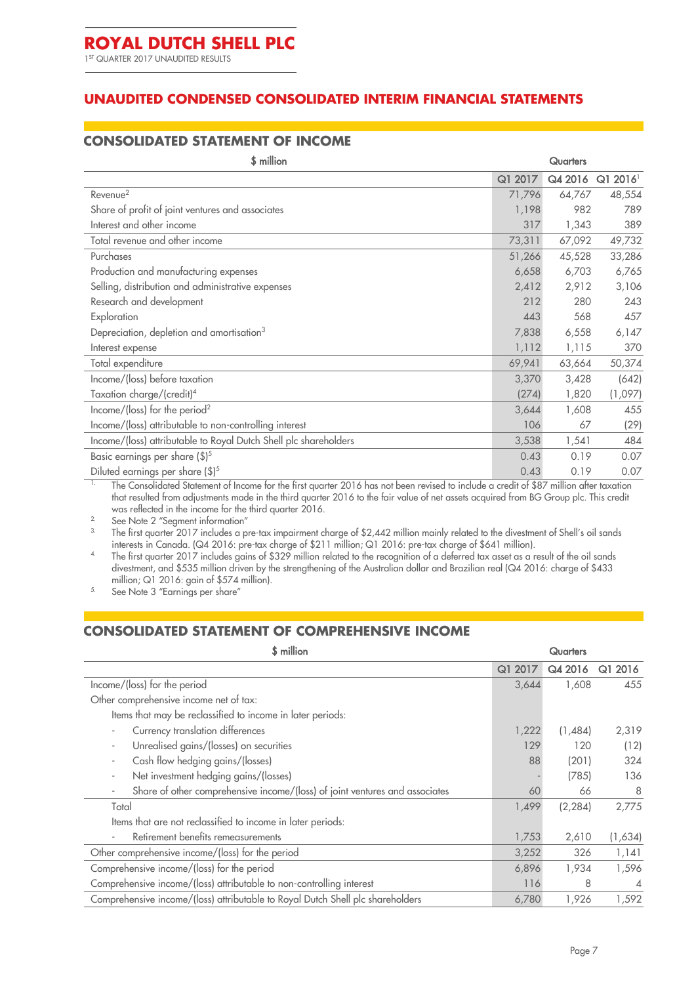1 ST QUARTER 2017 UNAUDITED RESULTS

## **UNAUDITED CONDENSED CONSOLIDATED INTERIM FINANCIAL STATEMENTS**

#### **CONSOLIDATED STATEMENT OF INCOME**

| \$ million<br>Quarters                                           |         |         |                        |
|------------------------------------------------------------------|---------|---------|------------------------|
|                                                                  | Q1 2017 | Q4 2016 | $Q1 2016$ <sup>1</sup> |
| Revenue <sup>2</sup>                                             | 71,796  | 64,767  | 48,554                 |
| Share of profit of joint ventures and associates                 | 1,198   | 982     | 789                    |
| Interest and other income                                        | 317     | 1,343   | 389                    |
| Total revenue and other income                                   | 73,311  | 67,092  | 49,732                 |
| Purchases                                                        | 51,266  | 45,528  | 33,286                 |
| Production and manufacturing expenses                            | 6,658   | 6,703   | 6,765                  |
| Selling, distribution and administrative expenses                | 2,412   | 2,912   | 3,106                  |
| Research and development                                         | 212     | 280     | 243                    |
| Exploration                                                      | 443     | 568     | 457                    |
| Depreciation, depletion and amortisation <sup>3</sup>            | 7,838   | 6,558   | 6,147                  |
| Interest expense                                                 | 1,112   | 1,115   | 370                    |
| Total expenditure                                                | 69,941  | 63,664  | 50,374                 |
| Income/(loss) before taxation                                    | 3,370   | 3,428   | (642)                  |
| Taxation charge/(credit) <sup>4</sup>                            | (274)   | 1,820   | (1,097)                |
| Income/(loss) for the period <sup>2</sup>                        | 3,644   | 1,608   | 455                    |
| Income/(loss) attributable to non-controlling interest           | 106     | 67      | (29)                   |
| Income/(loss) attributable to Royal Dutch Shell plc shareholders | 3,538   | 1,541   | 484                    |
| Basic earnings per share (\$) <sup>5</sup>                       | 0.43    | 0.19    | 0.07                   |
| Diluted earnings per share (\$) <sup>5</sup>                     | 0.43    | 0.19    | 0.07                   |

The Consolidated Statement of Income for the first quarter 2016 has not been revised to include a credit of \$87 million after taxation that resulted from adjustments made in the third quarter 2016 to the fair value of net assets acquired from BG Group plc. This credit was reflected in the income for the third quarter 2016.

<sup>2</sup> See Note [2](#page-10-0) "Segment information"<br><sup>3</sup> The first quarter 2017 includes a p

The first quarter 2017 includes a pre-tax impairment charge of \$2,442 million mainly related to the divestment of Shell's oil sands interests in Canada. (Q4 2016: pre-tax charge of \$211 million; Q1 2016: pre-tax charge of \$641 million).

<sup>4</sup> The first quarter 2017 includes gains of \$329 million related to the recognition of a deferred tax asset as a result of the oil sands divestment, and \$535 million driven by the strengthening of the Australian dollar and Brazilian real (Q4 2016: charge of \$433 million; Q1 2016: gain of \$574 million).

5. See Note [3](#page-11-0) "Earnings per share"

#### **CONSOLIDATED STATEMENT OF COMPREHENSIVE INCOME**

| <b>S</b> million<br><b>Quarters</b>                                            |            |          |                |
|--------------------------------------------------------------------------------|------------|----------|----------------|
|                                                                                | Q1<br>2017 | Q4 2016  | Q1 2016        |
| Income/(loss) for the period                                                   | 3,644      | 1,608    | 455            |
| Other comprehensive income net of tax:                                         |            |          |                |
| Items that may be reclassified to income in later periods:                     |            |          |                |
| Currency translation differences                                               | 1,222      | (1,484)  | 2,319          |
| Unrealised gains/(losses) on securities                                        | 129        | 120      | (12)           |
| Cash flow hedging gains/(losses)                                               | 88         | (201)    | 324            |
| Net investment hedging gains/(losses)                                          |            | (785)    | 136            |
| Share of other comprehensive income/(loss) of joint ventures and associates    | 60         | 66       | 8              |
| Total                                                                          | 1,499      | (2, 284) | 2,775          |
| Items that are not reclassified to income in later periods:                    |            |          |                |
| Retirement benefits remeasurements                                             | 1,753      | 2,610    | (1,634)        |
| Other comprehensive income/(loss) for the period                               | 3,252      | 326      | 1,141          |
| Comprehensive income/(loss) for the period                                     | 6,896      | 1,934    | 1,596          |
| Comprehensive income/(loss) attributable to non-controlling interest           | 116        | 8        | $\overline{4}$ |
| Comprehensive income/(loss) attributable to Royal Dutch Shell plc shareholders | 6,780      | 1,926    | 1,592          |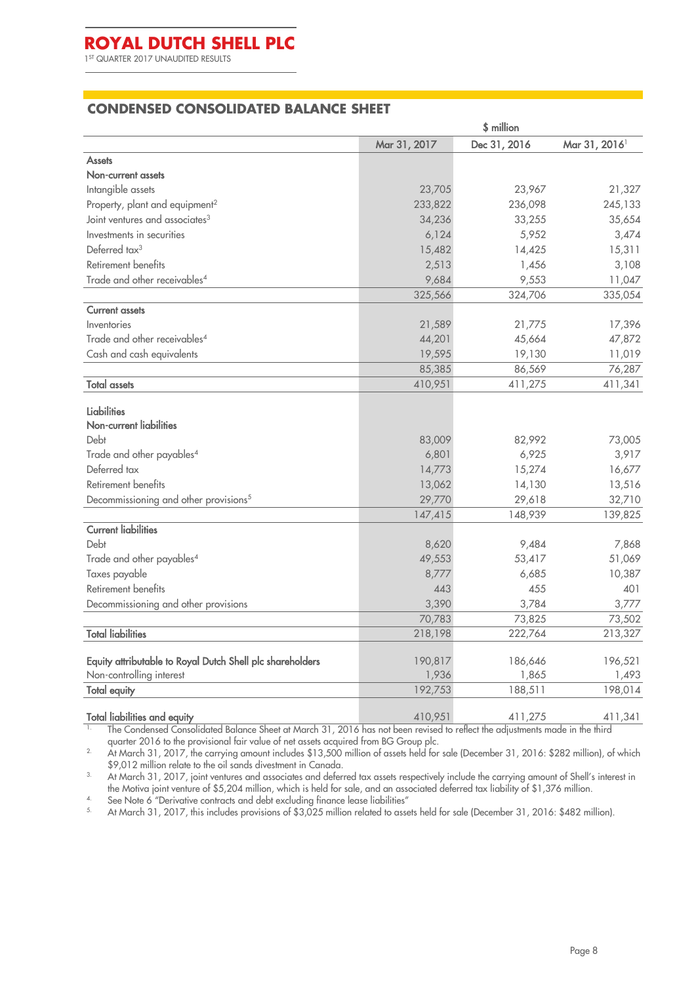1 ST QUARTER 2017 UNAUDITED RESULTS

#### **CONDENSED CONSOLIDATED BALANCE SHEET**

|                                                           | \$ million   |              |                           |  |
|-----------------------------------------------------------|--------------|--------------|---------------------------|--|
|                                                           | Mar 31, 2017 | Dec 31, 2016 | Mar 31, 2016 <sup>1</sup> |  |
| <b>Assets</b>                                             |              |              |                           |  |
| Non-current assets                                        |              |              |                           |  |
| Intangible assets                                         | 23,705       | 23,967       | 21,327                    |  |
| Property, plant and equipment <sup>2</sup>                | 233,822      | 236,098      | 245,133                   |  |
| Joint ventures and associates <sup>3</sup>                | 34,236       | 33,255       | 35,654                    |  |
| Investments in securities                                 | 6,124        | 5,952        | 3,474                     |  |
| Deferred tax <sup>3</sup>                                 | 15,482       | 14,425       | 15,311                    |  |
| Retirement benefits                                       | 2,513        | 1,456        | 3,108                     |  |
| Trade and other receivables <sup>4</sup>                  | 9,684        | 9,553        | 11,047                    |  |
|                                                           | 325,566      | 324,706      | 335,054                   |  |
| <b>Current assets</b>                                     |              |              |                           |  |
| Inventories                                               | 21,589       | 21,775       | 17,396                    |  |
| Trade and other receivables <sup>4</sup>                  | 44,201       | 45,664       | 47,872                    |  |
| Cash and cash equivalents                                 | 19,595       | 19,130       | 11,019                    |  |
|                                                           | 85,385       | 86,569       | 76,287                    |  |
| <b>Total assets</b>                                       | 410,951      | 411,275      | 411,341                   |  |
| Liabilities<br>Non-current liabilities                    |              |              |                           |  |
| Debt                                                      | 83,009       | 82,992       | 73,005                    |  |
| Trade and other payables <sup>4</sup>                     | 6,801        | 6,925        | 3,917                     |  |
| Deferred tax                                              | 14,773       | 15,274       | 16,677                    |  |
| Retirement benefits                                       | 13,062       | 14,130       | 13,516                    |  |
| Decommissioning and other provisions <sup>5</sup>         | 29,770       | 29,618       | 32,710                    |  |
|                                                           | 147,415      | 148,939      | 139,825                   |  |
| <b>Current liabilities</b>                                |              |              |                           |  |
| Debt                                                      | 8,620        | 9,484        | 7,868                     |  |
| Trade and other payables <sup>4</sup>                     | 49,553       | 53,417       | 51,069                    |  |
| Taxes payable                                             | 8,777        | 6,685        | 10,387                    |  |
| Retirement benefits                                       | 443          | 455          | 401                       |  |
| Decommissioning and other provisions                      | 3,390        | 3,784        | 3,777                     |  |
|                                                           | 70,783       | 73,825       | 73,502                    |  |
| <b>Total liabilities</b>                                  | 218,198      | 222,764      | 213,327                   |  |
|                                                           |              |              |                           |  |
| Equity attributable to Royal Dutch Shell plc shareholders | 190,817      | 186,646      | 196,521                   |  |
| Non-controlling interest                                  | 1,936        | 1,865        | 1,493                     |  |
| <b>Total equity</b>                                       | 192,753      | 188,511      | 198,014                   |  |
| <b>Total liabilities and equity</b>                       | 410,951      | 411,275      | 411,341                   |  |

The Condensed Consolidated Balance Sheet at March 31, 2016 has not been revised to reflect the adjustments made in the third quarter 2016 to the provisional fair value of net assets acquired from BG Group plc.

<sup>2</sup> At March 31, 2017, the carrying amount includes \$13,500 million of assets held for sale (December 31, 2016: \$282 million), of which \$9,012 million relate to the oil sands divestment in Canada.

<sup>3</sup> At March 31, 2017, joint ventures and associates and deferred tax assets respectively include the carrying amount of Shell's interest in the Motiva joint venture of \$5,204 million, which is held for sale, and an associated deferred tax liability of \$1,376 million.

<sup>4.</sup> See Not[e 6](#page-12-0) "Derivative contracts and debt excluding finance lease liabilities"<br> $\frac{5}{2}$  At March 31, 2017, this includes provisions of \$3,025 million related to asset

5. At March 31, 2017, this includes provisions of \$3,025 million related to assets held for sale (December 31, 2016: \$482 million).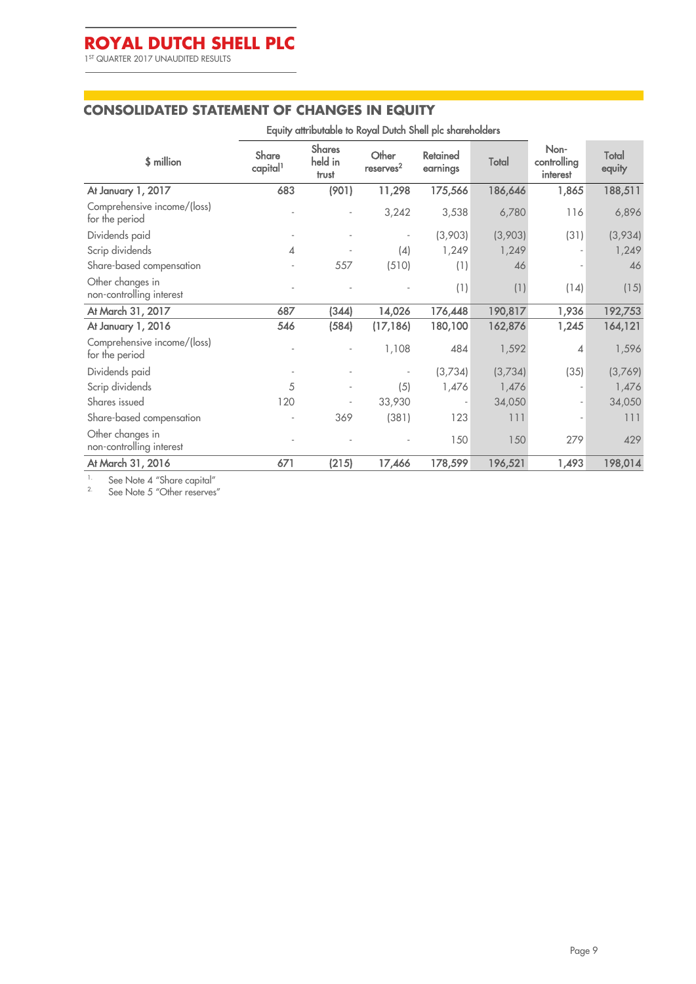1 ST QUARTER 2017 UNAUDITED RESULTS

 $\mathcal{L}^{\text{max}}$ 

#### **CONSOLIDATED STATEMENT OF CHANGES IN EQUITY**

| Equity attributable to Royal Dutch Shell plc shareholders |                                      |                                   |                                |                      |         |                                 |                 |
|-----------------------------------------------------------|--------------------------------------|-----------------------------------|--------------------------------|----------------------|---------|---------------------------------|-----------------|
| \$ million                                                | <b>Share</b><br>capital <sup>1</sup> | <b>Shares</b><br>held in<br>trust | Other<br>reserves <sup>2</sup> | Retained<br>earnings | Total   | Non-<br>controlling<br>interest | Total<br>equity |
| At January 1, 2017                                        | 683                                  | (901)                             | 11,298                         | 175,566              | 186,646 | 1,865                           | 188,511         |
| Comprehensive income/(loss)<br>for the period             |                                      |                                   | 3,242                          | 3,538                | 6,780   | 116                             | 6,896           |
| Dividends paid                                            |                                      |                                   |                                | (3,903)              | (3,903) | (31)                            | (3,934)         |
| Scrip dividends                                           | 4                                    |                                   | (4)                            | 1,249                | 1,249   |                                 | 1,249           |
| Share-based compensation                                  |                                      | 557                               | (510)                          | (1)                  | 46      |                                 | 46              |
| Other changes in<br>non-controlling interest              |                                      |                                   |                                | (1)                  | (1)     | (14)                            | (15)            |
| At March 31, 2017                                         | 687                                  | (344)                             | 14,026                         | 176,448              | 190,817 | 1,936                           | 192,753         |
| At January 1, 2016                                        | 546                                  | (584)                             | (17, 186)                      | 180,100              | 162,876 | 1,245                           | 164,121         |
| Comprehensive income/(loss)<br>for the period             |                                      |                                   | 1,108                          | 484                  | 1,592   | $\overline{4}$                  | 1,596           |
| Dividends paid                                            |                                      |                                   |                                | (3,734)              | (3,734) | (35)                            | (3,769)         |
| Scrip dividends                                           | 5                                    |                                   | (5)                            | 1,476                | 1,476   |                                 | 1,476           |
| Shares issued                                             | 120                                  |                                   | 33,930                         | $\overline{a}$       | 34,050  | $\overline{\phantom{a}}$        | 34,050          |
| Share-based compensation                                  |                                      | 369                               | (381)                          | 123                  | 111     | $\overline{a}$                  | 111             |
| Other changes in<br>non-controlling interest              |                                      |                                   |                                | 150                  | 150     | 279                             | 429             |
| At March 31, 2016                                         | 671                                  | (215)                             | 17,466                         | 178,599              | 196,521 | 1,493                           | 198,014         |

<sup>1.</sup> See Note [4](#page-11-1) "Share capital"

 $2^2$  See Note [5](#page-12-1) "Other reserves"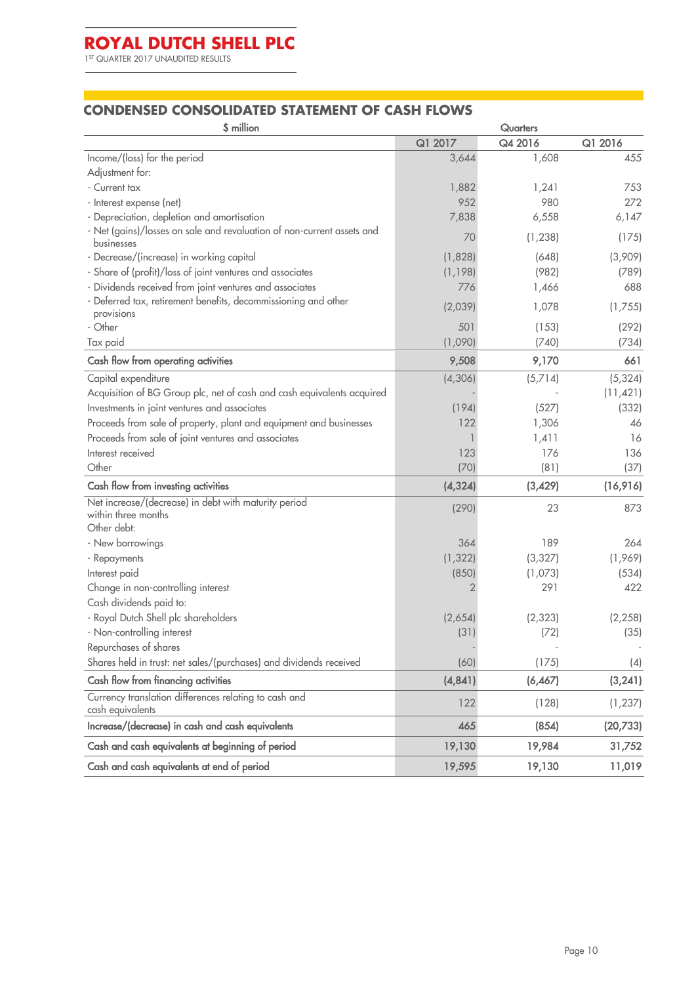1 ST QUARTER 2017 UNAUDITED RESULTS

**The State** 

#### **CONDENSED CONSOLIDATED STATEMENT OF CASH FLOWS**

| \$ million                                                                                 | <b>Quarters</b> |          |           |
|--------------------------------------------------------------------------------------------|-----------------|----------|-----------|
|                                                                                            | Q1 2017         | Q4 2016  | Q1 2016   |
| Income/(loss) for the period                                                               | 3,644           | 1,608    | 455       |
| Adjustment for:                                                                            |                 |          |           |
| - Current tax                                                                              | 1,882           | 1,241    | 753       |
| - Interest expense (net)                                                                   | 952             | 980      | 272       |
| - Depreciation, depletion and amortisation                                                 | 7,838           | 6,558    | 6,147     |
| - Net (gains)/losses on sale and revaluation of non-current assets and<br>businesses       | 70              | (1, 238) | (175)     |
| - Decrease/(increase) in working capital                                                   | (1,828)         | (648)    | (3,909)   |
| - Share of (profit)/loss of joint ventures and associates                                  | (1, 198)        | (982)    | (789)     |
| - Dividends received from joint ventures and associates                                    | 776             | 1,466    | 688       |
| - Deferred tax, retirement benefits, decommissioning and other<br>provisions               | (2,039)         | 1,078    | (1,755)   |
| - Other                                                                                    | 501             | (153)    | (292)     |
| Tax paid                                                                                   | (1,090)         | (740)    | (734)     |
| Cash flow from operating activities                                                        | 9,508           | 9,170    | 661       |
| Capital expenditure                                                                        | (4, 306)        | (5,714)  | (5, 324)  |
| Acquisition of BG Group plc, net of cash and cash equivalents acquired                     |                 |          | (11, 421) |
| Investments in joint ventures and associates                                               | (194)           | (527)    | (332)     |
| Proceeds from sale of property, plant and equipment and businesses                         | 122             | 1,306    | 46        |
| Proceeds from sale of joint ventures and associates                                        |                 | 1,411    | 16        |
| Interest received                                                                          | 123             | 176      | 136       |
| Other                                                                                      | (70)            | (81)     | (37)      |
| Cash flow from investing activities                                                        | (4, 324)        | (3,429)  | (16,916)  |
| Net increase/(decrease) in debt with maturity period<br>within three months<br>Other debt: | (290)           | 23       | 873       |
| - New borrowings                                                                           | 364             | 189      | 264       |
| - Repayments                                                                               | (1, 322)        | (3, 327) | (1,969)   |
| Interest paid                                                                              | (850)           | (1,073)  | (534)     |
| Change in non-controlling interest                                                         |                 | 291      | 422       |
| Cash dividends paid to:                                                                    |                 |          |           |
| - Royal Dutch Shell plc shareholders                                                       | (2,654)         | (2, 323) | (2, 258)  |
| - Non-controlling interest                                                                 | (31)            | (72)     | (35)      |
| Repurchases of shares                                                                      |                 |          |           |
| Shares held in trust: net sales/(purchases) and dividends received                         | (60)            | (175)    | (4)       |
| Cash flow from financing activities                                                        | (4, 841)        | (6, 467) | (3, 241)  |
| Currency translation differences relating to cash and<br>cash equivalents                  | 122             | (128)    | (1, 237)  |
| Increase/(decrease) in cash and cash equivalents                                           | 465             | (854)    | (20, 733) |
| Cash and cash equivalents at beginning of period                                           | 19,130          | 19,984   | 31,752    |
| Cash and cash equivalents at end of period                                                 | 19,595          | 19,130   | 11,019    |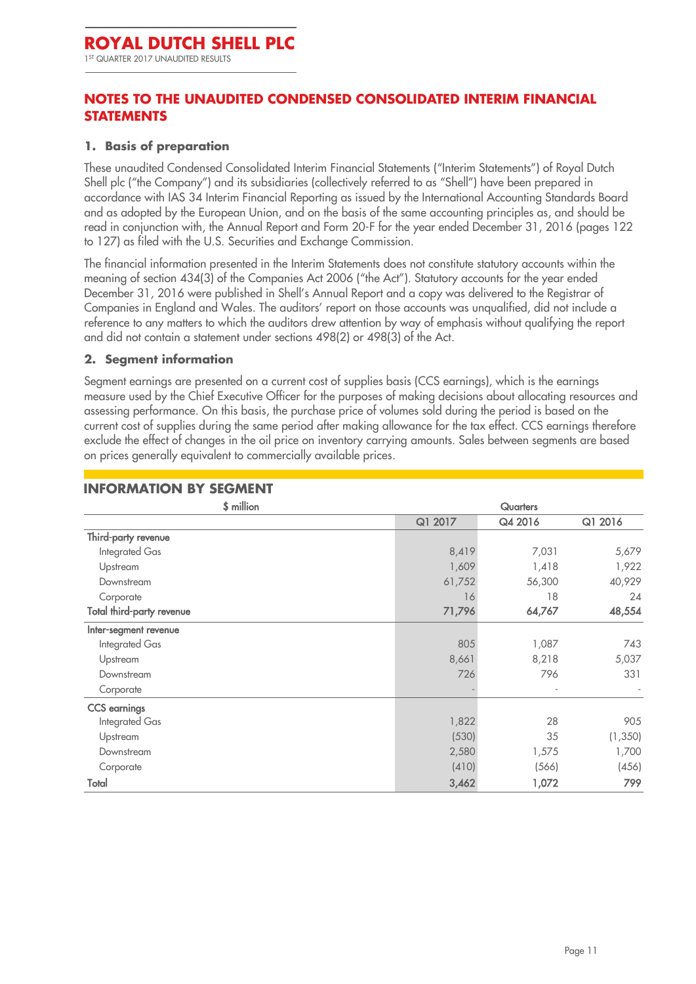1 ST QUARTER 2017 UNAUDITED RESULTS

# **NOTES TO THE UNAUDITED CONDENSED CONSOLIDATED INTERIM FINANCIAL STATEMENTS**

#### **1. Basis of preparation**

These unaudited Condensed Consolidated Interim Financial Statements ("Interim Statements") of Royal Dutch Shell plc ("the Company") and its subsidiaries (collectively referred to as "Shell") have been prepared in accordance with IAS 34 Interim Financial Reporting as issued by the International Accounting Standards Board and as adopted by the European Union, and on the basis of the same accounting principles as, and should be read in conjunction with, the Annual Report and Form 20-F for the year ended December 31, 2016 (pages 122 to 127) as filed with the U.S. Securities and Exchange Commission.

The financial information presented in the Interim Statements does not constitute statutory accounts within the meaning of section 434(3) of the Companies Act 2006 ("the Act"). Statutory accounts for the year ended December 31, 2016 were published in Shell's Annual Report and a copy was delivered to the Registrar of Companies in England and Wales. The auditors' report on those accounts was unqualified, did not include a reference to any matters to which the auditors drew attention by way of emphasis without qualifying the report and did not contain a statement under sections 498(2) or 498(3) of the Act.

#### <span id="page-10-0"></span>**2. Segment information**

Segment earnings are presented on a current cost of supplies basis (CCS earnings), which is the earnings measure used by the Chief Executive Officer for the purposes of making decisions about allocating resources and assessing performance. On this basis, the purchase price of volumes sold during the period is based on the current cost of supplies during the same period after making allowance for the tax effect. CCS earnings therefore exclude the effect of changes in the oil price on inventory carrying amounts. Sales between segments are based on prices generally equivalent to commercially available prices.

#### **INFORMATION BY SEGMENT** \$ million Quarters Q1 2017 Q4 2016 Q1 2016 Third-party revenue Integrated Gas 8,419 7,031 5,679 Upstream 1,609 1,418 1,922 Downstream 61,752 56,300 40,929 Corporate 16 18 24 Total third-party revenue 71,796 64,767 48,554 Inter-segment revenue Integrated Gas 805 1,087 743 Upstream 8,661 8,218 5,037 Downstream 726 796 331 Corporate - - - CCS earnings Integrated Gas 1,822 28 905 Upstream (530) 35 (1,350) Downstream 2,580 1,575 1,700 Corporate (410) (566) (456) Total 3,462 1,072 799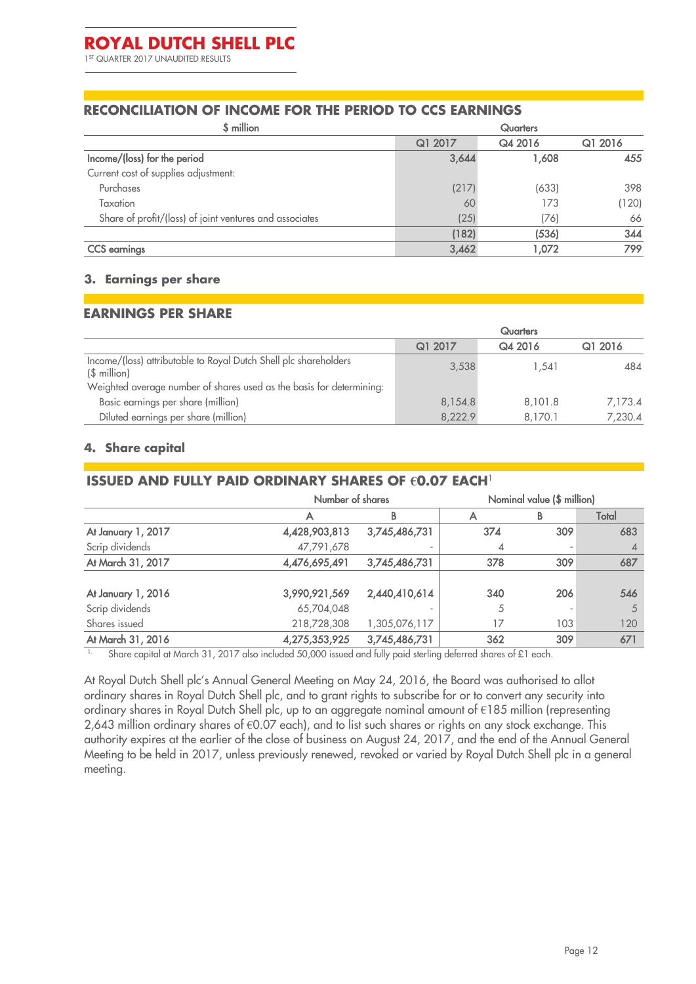#### **RECONCILIATION OF INCOME FOR THE PERIOD TO CCS EARNINGS**

| \$ million                                              | <b>Quarters</b> |         |         |  |  |
|---------------------------------------------------------|-----------------|---------|---------|--|--|
|                                                         | Q1 2017         | Q4 2016 | Q1 2016 |  |  |
| Income/(loss) for the period                            | 3,644           | 1.608   | 455     |  |  |
| Current cost of supplies adjustment:                    |                 |         |         |  |  |
| Purchases                                               | (217)           | (633)   | 398     |  |  |
| Taxation                                                | 60              | 173     | (120)   |  |  |
| Share of profit/(loss) of joint ventures and associates | (25)            | (76)    | 66      |  |  |
|                                                         | (182)           | (536)   | 344     |  |  |
| <b>CCS</b> earnings                                     | 3,462           | 1.072   | 799     |  |  |

#### <span id="page-11-0"></span>**3. Earnings per share**

#### **EARNINGS PER SHARE**

|                                                                                   | <b>Quarters</b> |         |         |  |
|-----------------------------------------------------------------------------------|-----------------|---------|---------|--|
|                                                                                   | Q1 2017         | Q4 2016 | Q1 2016 |  |
| Income/(loss) attributable to Royal Dutch Shell plc shareholders<br>$($$ million) | 3,538           | 1.541   | 484     |  |
| Weighted average number of shares used as the basis for determining:              |                 |         |         |  |
| Basic earnings per share (million)                                                | 8,154.8         | 8,101.8 | 7.173.4 |  |
| Diluted earnings per share (million)                                              | 8,222.9         | 8.170.1 | 7,230.4 |  |

#### <span id="page-11-1"></span>**4. Share capital**

### **ISSUED AND FULLY PAID ORDINARY SHARES OF €0.07 EACH**<sup>1</sup>

|               | Number of shares |     |     |                            |
|---------------|------------------|-----|-----|----------------------------|
| Α             | B                |     | в   | Total                      |
| 4,428,903,813 | 3,745,486,731    | 374 | 309 | 683                        |
| 47,791,678    |                  |     |     |                            |
| 4,476,695,491 | 3,745,486,731    | 378 | 309 | 687                        |
|               |                  |     |     |                            |
| 3,990,921,569 | 2,440,410,614    | 340 | 206 | 546                        |
| 65,704,048    |                  | 5   |     | 5                          |
| 218,728,308   | 1,305,076,117    | 17  | 103 | 120                        |
| 4,275,353,925 | 3,745,486,731    | 362 | 309 | 671                        |
|               |                  |     |     | Nominal value (\$ million) |

<sup>1.</sup> Share capital at March 31, 2017 also included 50,000 issued and fully paid sterling deferred shares of £1 each.

At Royal Dutch Shell plc's Annual General Meeting on May 24, 2016, the Board was authorised to allot ordinary shares in Royal Dutch Shell plc, and to grant rights to subscribe for or to convert any security into ordinary shares in Royal Dutch Shell plc, up to an aggregate nominal amount of €185 million (representing 2,643 million ordinary shares of €0.07 each), and to list such shares or rights on any stock exchange. This authority expires at the earlier of the close of business on August 24, 2017, and the end of the Annual General Meeting to be held in 2017, unless previously renewed, revoked or varied by Royal Dutch Shell plc in a general meeting.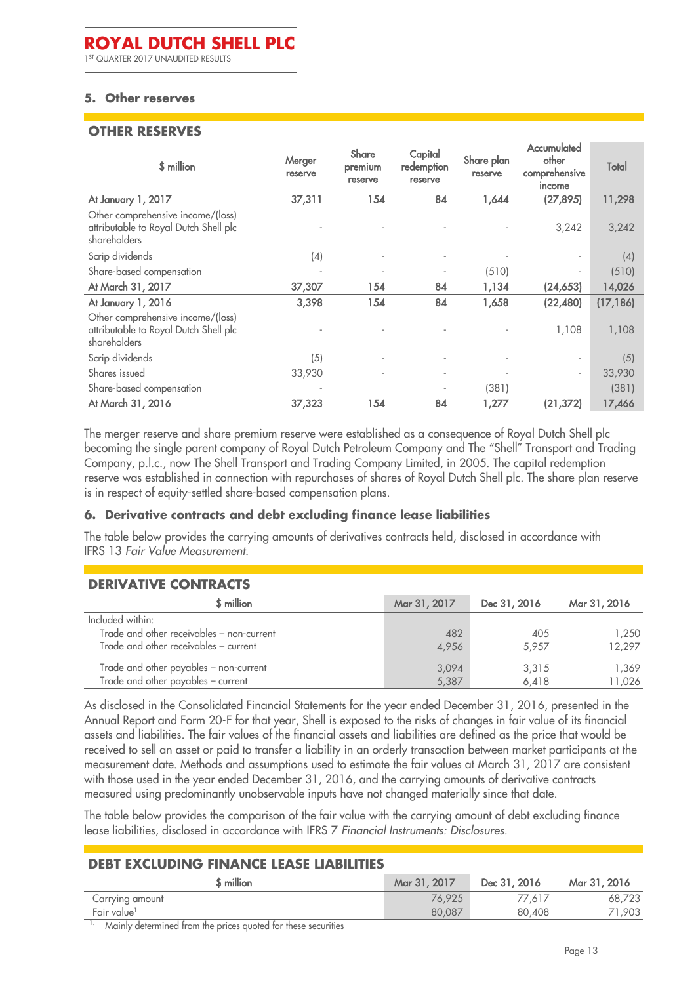#### <span id="page-12-1"></span>**5. Other reserves**

I

#### **OTHER RESERVES**

| \$ million                                                                                 | Merger<br>reserve | <b>Share</b><br>premium<br>reserve | Capital<br>redemption<br>reserve | Share plan<br>reserve | Accumulated<br>other<br>comprehensive<br>income | Total     |
|--------------------------------------------------------------------------------------------|-------------------|------------------------------------|----------------------------------|-----------------------|-------------------------------------------------|-----------|
| At January 1, 2017                                                                         | 37,311            | 154                                | 84                               | 1,644                 | (27, 895)                                       | 11,298    |
| Other comprehensive income/(loss)<br>attributable to Royal Dutch Shell plc<br>shareholders |                   |                                    |                                  |                       | 3,242                                           | 3,242     |
| Scrip dividends                                                                            | (4)               |                                    |                                  |                       |                                                 | (4)       |
| Share-based compensation                                                                   |                   |                                    |                                  | (510)                 | $\sim$                                          | (510)     |
| At March 31, 2017                                                                          | 37,307            | 154                                | 84                               | 1,134                 | (24, 653)                                       | 14,026    |
| At January 1, 2016                                                                         | 3,398             | 154                                | 84                               | 1,658                 | (22,480)                                        | (17, 186) |
| Other comprehensive income/(loss)<br>attributable to Royal Dutch Shell plc<br>shareholders |                   |                                    |                                  |                       | 1,108                                           | 1,108     |
| Scrip dividends                                                                            | (5)               |                                    |                                  |                       | $\overline{\phantom{a}}$                        | (5)       |
| Shares issued                                                                              | 33,930            |                                    |                                  |                       | $\overline{\phantom{a}}$                        | 33,930    |
| Share-based compensation                                                                   |                   |                                    |                                  | (381)                 |                                                 | (381)     |
| At March 31, 2016                                                                          | 37,323            | 154                                | 84                               | 1,277                 | (21, 372)                                       | 17,466    |

The merger reserve and share premium reserve were established as a consequence of Royal Dutch Shell plc becoming the single parent company of Royal Dutch Petroleum Company and The "Shell" Transport and Trading Company, p.l.c., now The Shell Transport and Trading Company Limited, in 2005. The capital redemption reserve was established in connection with repurchases of shares of Royal Dutch Shell plc. The share plan reserve is in respect of equity-settled share-based compensation plans.

#### <span id="page-12-0"></span>**6. Derivative contracts and debt excluding finance lease liabilities**

The table below provides the carrying amounts of derivatives contracts held, disclosed in accordance with IFRS 13 *Fair Value Measurement*.

# **DERIVATIVE CONTRACTS**

| \$ million                                | Mar 31, 2017 | Dec 31, 2016 | Mar 31, 2016 |
|-------------------------------------------|--------------|--------------|--------------|
| Included within:                          |              |              |              |
| Trade and other receivables – non-current | 482          | 405          | 1.250        |
| Trade and other receivables – current     | 4,956        | 5.957        | 12,297       |
| Trade and other payables - non-current    | 3,094        | 3,315        | 1.369        |
| Trade and other payables - current        | 5,387        | 6.418        | 11,026       |

As disclosed in the Consolidated Financial Statements for the year ended December 31, 2016, presented in the Annual Report and Form 20-F for that year, Shell is exposed to the risks of changes in fair value of its financial assets and liabilities. The fair values of the financial assets and liabilities are defined as the price that would be received to sell an asset or paid to transfer a liability in an orderly transaction between market participants at the measurement date. Methods and assumptions used to estimate the fair values at March 31, 2017 are consistent with those used in the year ended December 31, 2016, and the carrying amounts of derivative contracts measured using predominantly unobservable inputs have not changed materially since that date.

The table below provides the comparison of the fair value with the carrying amount of debt excluding finance lease liabilities, disclosed in accordance with IFRS 7 *Financial Instruments: Disclosures*.

#### **DEBT EXCLUDING FINANCE LEASE LIABILITIES**

| \$ million              | Mar 31, 2017 | Dec 31, 2016 | Mar 31, 2016 |
|-------------------------|--------------|--------------|--------------|
| Carrying amount         | 76.925       | 77.617       | 68,723       |
| Fair value <sup>1</sup> | 80,087       | 80,408       | .903         |
| $\cdots$<br>$\bullet$   |              |              |              |

1. Mainly determined from the prices quoted for these securities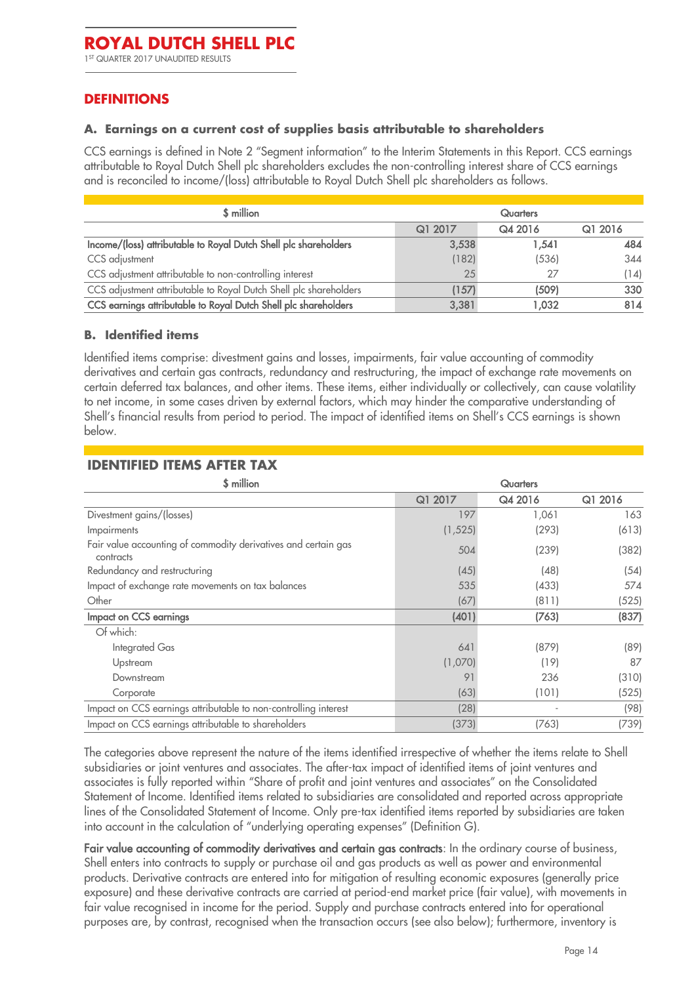# **DEFINITIONS**

#### <span id="page-13-0"></span>**A. Earnings on a current cost of supplies basis attributable to shareholders**

CCS earnings is defined in Note 2 "Segment information" to the Interim Statements in this Report. CCS earnings attributable to Royal Dutch Shell plc shareholders excludes the non-controlling interest share of CCS earnings and is reconciled to income/(loss) attributable to Royal Dutch Shell plc shareholders as follows.

| \$ million                                                        |         | <b>Quarters</b> |         |
|-------------------------------------------------------------------|---------|-----------------|---------|
|                                                                   | Q1 2017 | Q4 2016         | Q1 2016 |
| Income/(loss) attributable to Royal Dutch Shell plc shareholders  | 3,538   | 1,541           | 484     |
| CCS adjustment                                                    | (182)   | (536)           | 344     |
| CCS adjustment attributable to non-controlling interest           | 25      | 27              | (14)    |
| CCS adjustment attributable to Royal Dutch Shell plc shareholders | (157)   | (509)           | 330     |
| CCS earnings attributable to Royal Dutch Shell plc shareholders   | 3,381   | 1.032           | 814     |

#### <span id="page-13-1"></span>**B. Identified items**

Identified items comprise: divestment gains and losses, impairments, fair value accounting of commodity derivatives and certain gas contracts, redundancy and restructuring, the impact of exchange rate movements on certain deferred tax balances, and other items. These items, either individually or collectively, can cause volatility to net income, in some cases driven by external factors, which may hinder the comparative understanding of Shell's financial results from period to period. The impact of identified items on Shell's CCS earnings is shown below.

| \$ million                                                                  |          | <b>Quarters</b> |         |
|-----------------------------------------------------------------------------|----------|-----------------|---------|
|                                                                             | Q1 2017  | Q4 2016         | Q1 2016 |
| Divestment gains/(losses)                                                   | 197      | 1,061           | 163     |
| Impairments                                                                 | (1, 525) | (293)           | (613)   |
| Fair value accounting of commodity derivatives and certain gas<br>contracts | 504      | (239)           | (382)   |
| Redundancy and restructuring                                                | (45)     | (48)            | (54)    |
| Impact of exchange rate movements on tax balances                           | 535      | (433)           | 574     |
| Other                                                                       | (67)     | (811)           | (525)   |
| Impact on CCS earnings                                                      | (401)    | (763)           | (837)   |
| Of which:                                                                   |          |                 |         |
| <b>Integrated Gas</b>                                                       | 641      | (879)           | (89)    |
| Upstream                                                                    | (1,070)  | (19)            | 87      |
| Downstream                                                                  | 91       | 236             | (310)   |
| Corporate                                                                   | (63)     | (101)           | (525)   |
| Impact on CCS earnings attributable to non-controlling interest             | (28)     |                 | (98)    |
| Impact on CCS earnings attributable to shareholders                         | (373)    | (763)           | (739)   |

#### **IDENTIFIED ITEMS AFTER TAX**

The categories above represent the nature of the items identified irrespective of whether the items relate to Shell subsidiaries or joint ventures and associates. The after-tax impact of identified items of joint ventures and associates is fully reported within "Share of profit and joint ventures and associates" on the Consolidated Statement of Income. Identified items related to subsidiaries are consolidated and reported across appropriate lines of the Consolidated Statement of Income. Only pre-tax identified items reported by subsidiaries are taken into account in the calculation of "underlying operating expenses" (Definition G).

Fair value accounting of commodity derivatives and certain gas contracts: In the ordinary course of business, Shell enters into contracts to supply or purchase oil and gas products as well as power and environmental products. Derivative contracts are entered into for mitigation of resulting economic exposures (generally price exposure) and these derivative contracts are carried at period-end market price (fair value), with movements in fair value recognised in income for the period. Supply and purchase contracts entered into for operational purposes are, by contrast, recognised when the transaction occurs (see also below); furthermore, inventory is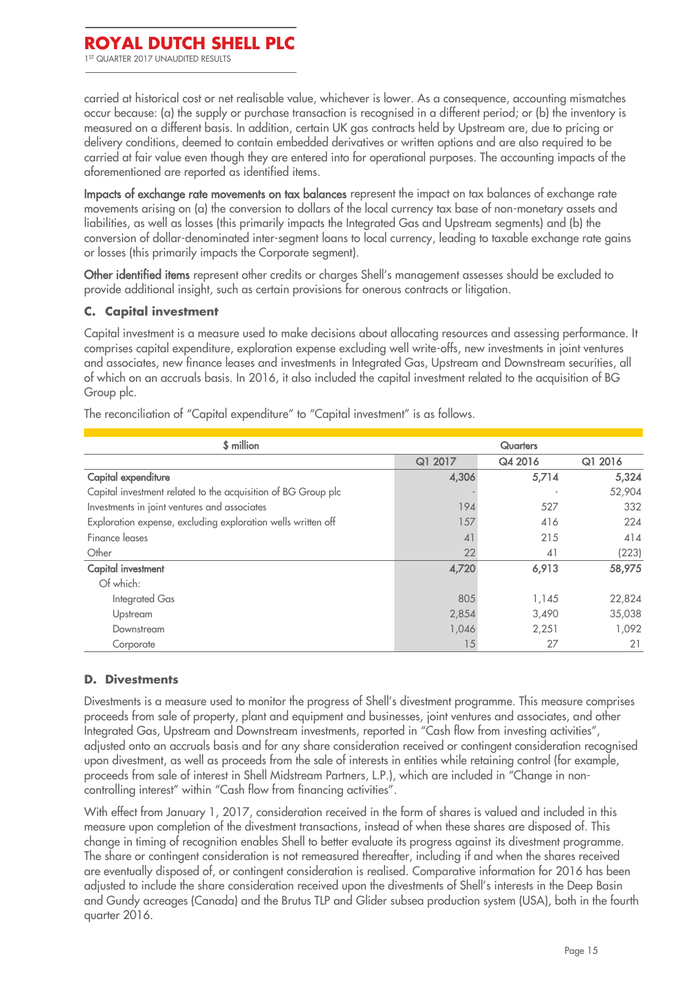carried at historical cost or net realisable value, whichever is lower. As a consequence, accounting mismatches occur because: (a) the supply or purchase transaction is recognised in a different period; or (b) the inventory is measured on a different basis. In addition, certain UK gas contracts held by Upstream are, due to pricing or delivery conditions, deemed to contain embedded derivatives or written options and are also required to be carried at fair value even though they are entered into for operational purposes. The accounting impacts of the aforementioned are reported as identified items.

Impacts of exchange rate movements on tax balances represent the impact on tax balances of exchange rate movements arising on (a) the conversion to dollars of the local currency tax base of non-monetary assets and liabilities, as well as losses (this primarily impacts the Integrated Gas and Upstream segments) and (b) the conversion of dollar-denominated inter-segment loans to local currency, leading to taxable exchange rate gains or losses (this primarily impacts the Corporate segment).

Other identified items represent other credits or charges Shell's management assesses should be excluded to provide additional insight, such as certain provisions for onerous contracts or litigation.

#### <span id="page-14-0"></span>**C. Capital investment**

Capital investment is a measure used to make decisions about allocating resources and assessing performance. It comprises capital expenditure, exploration expense excluding well write-offs, new investments in joint ventures and associates, new finance leases and investments in Integrated Gas, Upstream and Downstream securities, all of which on an accruals basis. In 2016, it also included the capital investment related to the acquisition of BG Group plc.

| \$ million                                                    |         | <b>Quarters</b> |         |
|---------------------------------------------------------------|---------|-----------------|---------|
|                                                               | Q1 2017 | Q4 2016         | Q1 2016 |
| Capital expenditure                                           | 4,306   | 5,714           | 5,324   |
| Capital investment related to the acquisition of BG Group plc |         |                 | 52,904  |
| Investments in joint ventures and associates                  | 194     | 527             | 332     |
| Exploration expense, excluding exploration wells written off  | 157     | 416             | 224     |
| Finance leases                                                | 41      | 215             | 414     |
| Other                                                         | 22      | 41              | (223)   |
| Capital investment                                            | 4,720   | 6,913           | 58,975  |
| Of which:                                                     |         |                 |         |
| <b>Integrated Gas</b>                                         | 805     | 1,145           | 22,824  |
| Upstream                                                      | 2,854   | 3,490           | 35,038  |
| Downstream                                                    | 1,046   | 2,251           | 1.092   |
| Corporate                                                     | 15      | 27              | 21      |

The reconciliation of "Capital expenditure" to "Capital investment" is as follows.

#### <span id="page-14-1"></span>**D. Divestments**

Divestments is a measure used to monitor the progress of Shell's divestment programme. This measure comprises proceeds from sale of property, plant and equipment and businesses, joint ventures and associates, and other Integrated Gas, Upstream and Downstream investments, reported in "Cash flow from investing activities", adjusted onto an accruals basis and for any share consideration received or contingent consideration recognised upon divestment, as well as proceeds from the sale of interests in entities while retaining control (for example, proceeds from sale of interest in Shell Midstream Partners, L.P.), which are included in "Change in noncontrolling interest" within "Cash flow from financing activities".

With effect from January 1, 2017, consideration received in the form of shares is valued and included in this measure upon completion of the divestment transactions, instead of when these shares are disposed of. This change in timing of recognition enables Shell to better evaluate its progress against its divestment programme. The share or contingent consideration is not remeasured thereafter, including if and when the shares received are eventually disposed of, or contingent consideration is realised. Comparative information for 2016 has been adjusted to include the share consideration received upon the divestments of Shell's interests in the Deep Basin and Gundy acreages (Canada) and the Brutus TLP and Glider subsea production system (USA), both in the fourth quarter 2016.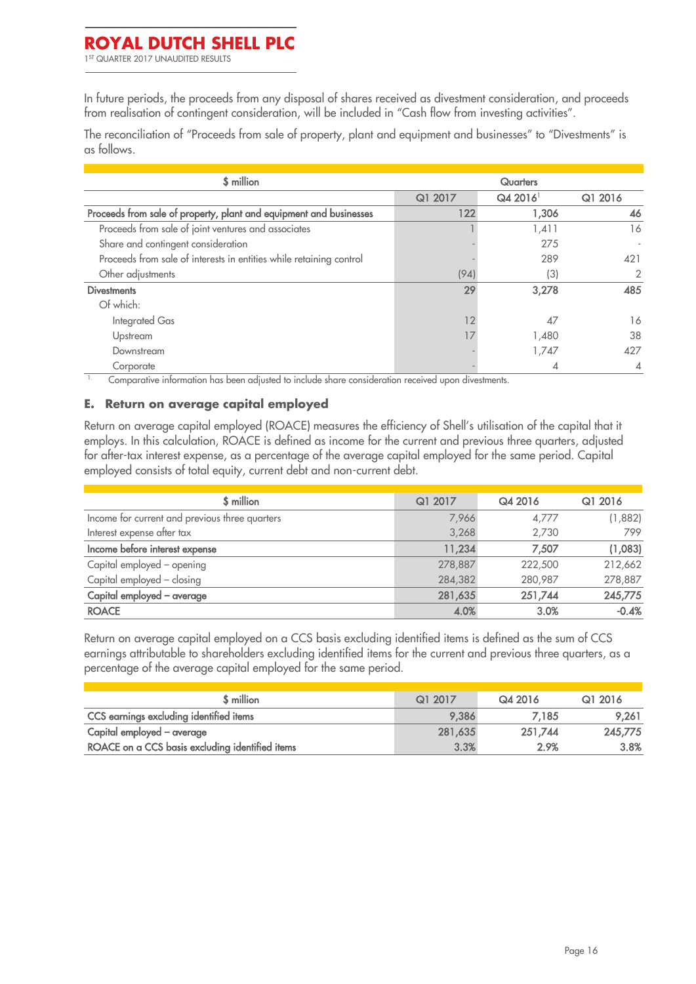1 ST QUARTER 2017 UNAUDITED RESULTS

In future periods, the proceeds from any disposal of shares received as divestment consideration, and proceeds from realisation of contingent consideration, will be included in "Cash flow from investing activities".

The reconciliation of "Proceeds from sale of property, plant and equipment and businesses" to "Divestments" is as follows.

| \$ million                                                          | <b>Quarters</b> |                       |         |
|---------------------------------------------------------------------|-----------------|-----------------------|---------|
|                                                                     | Q1 2017         | $Q42016$ <sup>1</sup> | Q1 2016 |
| Proceeds from sale of property, plant and equipment and businesses  | 122             | 1,306                 | 46      |
| Proceeds from sale of joint ventures and associates                 |                 | 1,411                 | 16      |
| Share and contingent consideration                                  |                 | 275                   |         |
| Proceeds from sale of interests in entities while retaining control |                 | 289                   | 421     |
| Other adjustments                                                   | (94)            | (3)                   | 2       |
| <b>Divestments</b>                                                  | 29              | 3,278                 | 485     |
| Of which:                                                           |                 |                       |         |
| Integrated Gas                                                      | 12              | 47                    | 16      |
| Upstream                                                            |                 | 1,480                 | 38      |
| Downstream                                                          |                 | 1,747                 | 427     |
| Corporate                                                           |                 |                       | 4       |

<sup>1</sup> Comparative information has been adjusted to include share consideration received upon divestments.

#### <span id="page-15-0"></span>**E. Return on average capital employed**

Return on average capital employed (ROACE) measures the efficiency of Shell's utilisation of the capital that it employs. In this calculation, ROACE is defined as income for the current and previous three quarters, adjusted for after-tax interest expense, as a percentage of the average capital employed for the same period. Capital employed consists of total equity, current debt and non-current debt.

| \$ million                                     | Q1 2017 | Q4 2016 | Q1 2016 |
|------------------------------------------------|---------|---------|---------|
| Income for current and previous three quarters | 7,966   | 4,777   | (1,882) |
| Interest expense after tax                     | 3,268   | 2,730   | 799     |
| Income before interest expense                 | 11,234  | 7,507   | (1,083) |
| Capital employed - opening                     | 278,887 | 222,500 | 212,662 |
| Capital employed - closing                     | 284,382 | 280,987 | 278,887 |
| Capital employed - average                     | 281,635 | 251,744 | 245,775 |
| <b>ROACE</b>                                   | 4.0%    | 3.0%    | $-0.4%$ |

Return on average capital employed on a CCS basis excluding identified items is defined as the sum of CCS earnings attributable to shareholders excluding identified items for the current and previous three quarters, as a percentage of the average capital employed for the same period.

| \$ million                                      | Q1 2017 | Q4 2016 | G1 2016 |
|-------------------------------------------------|---------|---------|---------|
| CCS earnings excluding identified items         | 9.386   | 7.185   | 9.261   |
| Capital employed – average                      | 281.635 | 251.744 | 245,775 |
| ROACE on a CCS basis excluding identified items | 3.3%    | 2.9%    | 3.8%    |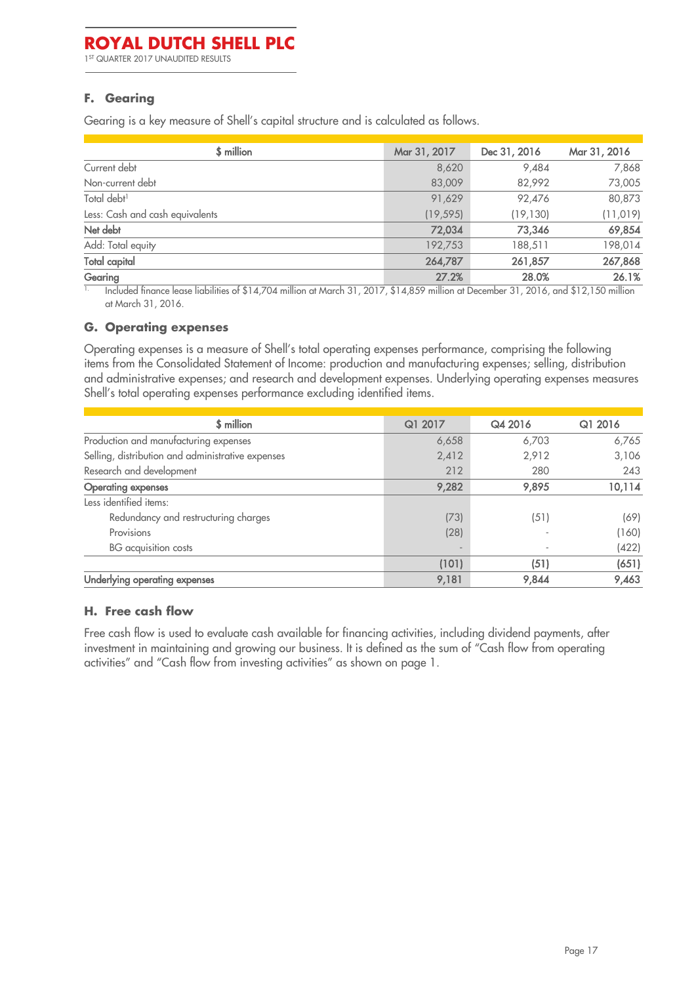1 ST QUARTER 2017 UNAUDITED RESULTS

#### <span id="page-16-2"></span>**F. Gearing**

Gearing is a key measure of Shell's capital structure and is calculated as follows.

| Mar 31, 2017 | Dec 31, 2016 | Mar 31, 2016 |
|--------------|--------------|--------------|
| 8,620        | 9,484        | 7,868        |
| 83,009       | 82,992       | 73,005       |
| 91,629       | 92,476       | 80,873       |
| (19, 595)    | (19, 130)    | (11, 019)    |
| 72,034       | 73,346       | 69,854       |
| 192,753      | 188,511      | 198,014      |
| 264,787      | 261,857      | 267,868      |
| 27.2%        | 28.0%        | 26.1%        |
|              |              |              |

 $\overline{1}$  Included finance lease liabilities of \$14,704 million at March 31, 2017, \$14,859 million at December 31, 2016, and \$12,150 million at March 31, 2016.

#### <span id="page-16-1"></span>1. **G. Operating expenses**

Operating expenses is a measure of Shell's total operating expenses performance, comprising the following items from the Consolidated Statement of Income: production and manufacturing expenses; selling, distribution and administrative expenses; and research and development expenses. Underlying operating expenses measures Shell's total operating expenses performance excluding identified items.

| \$ million                                        | Q1 2017                  | Q4 2016 | Q1 2016 |
|---------------------------------------------------|--------------------------|---------|---------|
| Production and manufacturing expenses             | 6,658                    | 6,703   | 6,765   |
| Selling, distribution and administrative expenses | 2,412                    | 2,912   | 3,106   |
| Research and development                          | 212                      | 280     | 243     |
| <b>Operating expenses</b>                         | 9,282                    | 9,895   | 10,114  |
| Less identified items:                            |                          |         |         |
| Redundancy and restructuring charges              | (73)                     | (51)    | (69)    |
| Provisions                                        | (28)                     |         | (160)   |
| BG acquisition costs                              | $\overline{\phantom{a}}$ |         | (422)   |
|                                                   | (101)                    | (51)    | (651)   |
| Underlying operating expenses                     | 9,181                    | 9,844   | 9,463   |

#### <span id="page-16-0"></span>**H. Free cash flow**

Free cash flow is used to evaluate cash available for financing activities, including dividend payments, after investment in maintaining and growing our business. It is defined as the sum of "Cash flow from operating activities" and "Cash flow from investing activities" as shown on page 1.